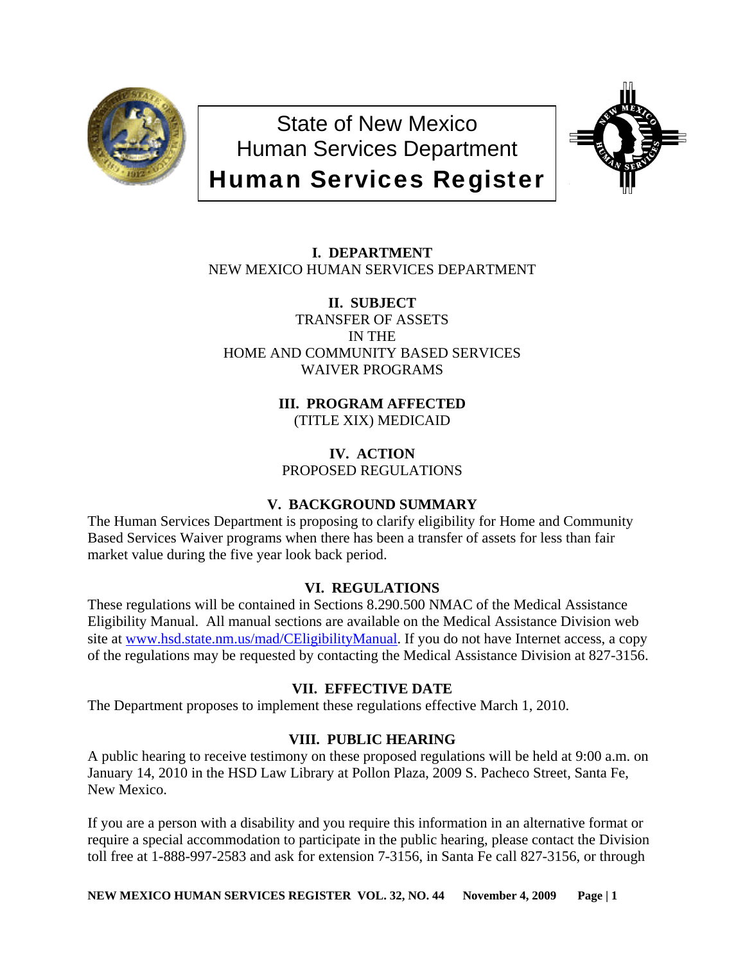

State of New Mexico Human Services Department Human Services Register



# **I. DEPARTMENT** NEW MEXICO HUMAN SERVICES DEPARTMENT

**II. SUBJECT** TRANSFER OF ASSETS IN THE HOME AND COMMUNITY BASED SERVICES WAIVER PROGRAMS

> **III. PROGRAM AFFECTED** (TITLE XIX) MEDICAID

**IV. ACTION** PROPOSED REGULATIONS

## **V. BACKGROUND SUMMARY**

The Human Services Department is proposing to clarify eligibility for Home and Community Based Services Waiver programs when there has been a transfer of assets for less than fair market value during the five year look back period.

## **VI. REGULATIONS**

These regulations will be contained in Sections 8.290.500 NMAC of the Medical Assistance Eligibility Manual. All manual sections are available on the Medical Assistance Division web site at [www.hsd.state.nm.us/mad/CEligibilityManual.](http://www.hsd.state.nm.us/mad/CEligibilityManual) If you do not have Internet access, a copy of the regulations may be requested by contacting the Medical Assistance Division at 827-3156.

## **VII. EFFECTIVE DATE**

The Department proposes to implement these regulations effective March 1, 2010.

## **VIII. PUBLIC HEARING**

A public hearing to receive testimony on these proposed regulations will be held at 9:00 a.m. on January 14, 2010 in the HSD Law Library at Pollon Plaza, 2009 S. Pacheco Street, Santa Fe, New Mexico.

If you are a person with a disability and you require this information in an alternative format or require a special accommodation to participate in the public hearing, please contact the Division toll free at 1-888-997-2583 and ask for extension 7-3156, in Santa Fe call 827-3156, or through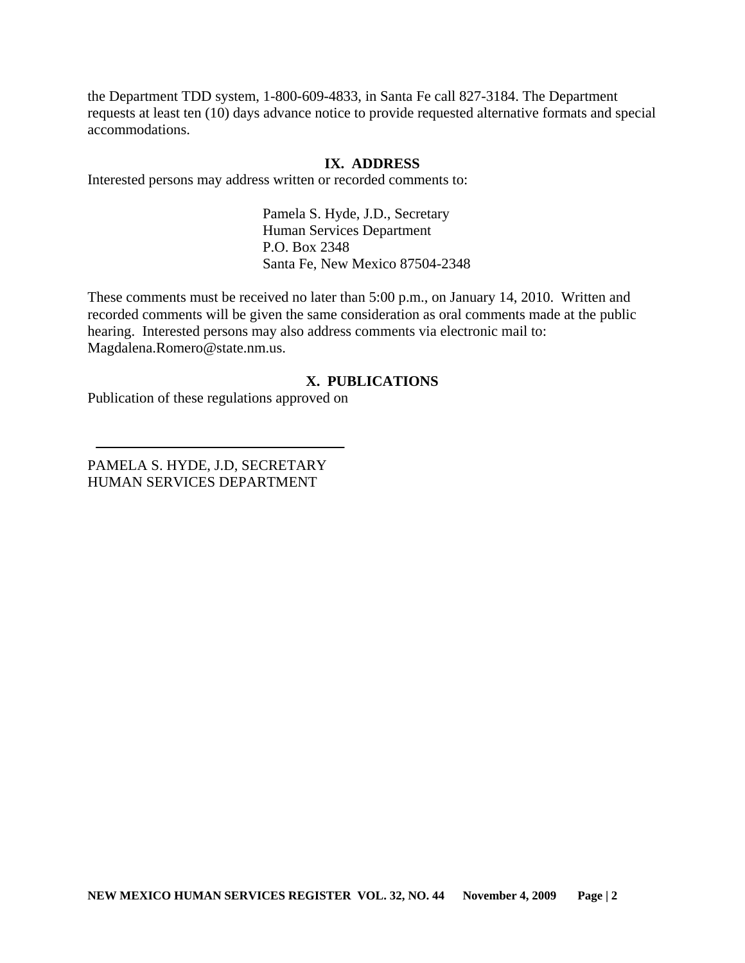the Department TDD system, 1-800-609-4833, in Santa Fe call 827-3184. The Department requests at least ten (10) days advance notice to provide requested alternative formats and special accommodations.

### **IX. ADDRESS**

Interested persons may address written or recorded comments to:

Pamela S. Hyde, J.D., Secretary Human Services Department P.O. Box 2348 Santa Fe, New Mexico 87504-2348

These comments must be received no later than 5:00 p.m., on January 14, 2010. Written and recorded comments will be given the same consideration as oral comments made at the public hearing. Interested persons may also address comments via electronic mail to: Magdalena.Romero@state.nm.us.

## **X. PUBLICATIONS**

Publication of these regulations approved on

PAMELA S. HYDE, J.D, SECRETARY HUMAN SERVICES DEPARTMENT